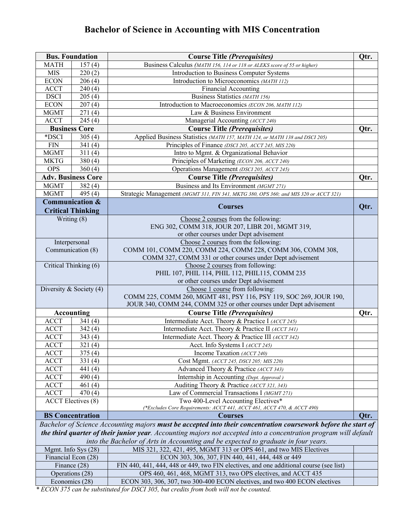## **Bachelor of Science in Accounting with MIS Concentration**

| <b>Bus. Foundation</b>                                                                                           |                                                                                    | <b>Course Title (Prerequisites)</b>                                                                            |      |  |  |  |  |
|------------------------------------------------------------------------------------------------------------------|------------------------------------------------------------------------------------|----------------------------------------------------------------------------------------------------------------|------|--|--|--|--|
| MATH<br>157(4)                                                                                                   |                                                                                    | Business Calculus (MATH 156, 114 or 118 or ALEKS score of 55 or higher)                                        |      |  |  |  |  |
| <b>MIS</b><br>220(2)                                                                                             |                                                                                    | Introduction to Business Computer Systems                                                                      |      |  |  |  |  |
| <b>ECON</b><br>206(4)                                                                                            |                                                                                    | Introduction to Microeconomics (MATH 112)                                                                      |      |  |  |  |  |
| <b>ACCT</b><br>240(4)                                                                                            |                                                                                    | <b>Financial Accounting</b>                                                                                    |      |  |  |  |  |
| <b>DSCI</b><br>205(4)                                                                                            |                                                                                    | Business Statistics (MATH 156)                                                                                 |      |  |  |  |  |
| <b>ECON</b>                                                                                                      | 207(4)                                                                             | Introduction to Macroeconomics (ECON 206, MATH 112)                                                            |      |  |  |  |  |
| <b>MGMT</b>                                                                                                      | 271(4)                                                                             | Law & Business Environment                                                                                     |      |  |  |  |  |
| <b>ACCT</b>                                                                                                      | 245(4)                                                                             | Managerial Accounting (ACCT 240)                                                                               |      |  |  |  |  |
|                                                                                                                  | <b>Business Core</b>                                                               | <b>Course Title (Prerequisites)</b>                                                                            | Qtr. |  |  |  |  |
| *DSCI                                                                                                            | 305(4)                                                                             | Applied Business Statistics (MATH 157, MATH 124, or MATH 138 and DSCI 205)                                     |      |  |  |  |  |
| <b>FIN</b>                                                                                                       | 341(4)                                                                             | Principles of Finance (DSCI 205, ACCT 245, MIS 220)                                                            |      |  |  |  |  |
| <b>MGMT</b>                                                                                                      | 311(4)                                                                             | Intro to Mgmt. & Organizational Behavior                                                                       |      |  |  |  |  |
| <b>MKTG</b><br>380(4)                                                                                            |                                                                                    | Principles of Marketing (ECON 206, ACCT 240)                                                                   |      |  |  |  |  |
| <b>OPS</b><br>360(4)                                                                                             |                                                                                    | Operations Management (DSCI 205, ACCT 245)                                                                     |      |  |  |  |  |
|                                                                                                                  | <b>Adv. Business Core</b>                                                          | <b>Course Title (Prerequisites)</b>                                                                            | Qtr. |  |  |  |  |
| <b>MGMT</b>                                                                                                      | 382(4)                                                                             | Business and Its Environment (MGMT 271)                                                                        |      |  |  |  |  |
| <b>MGMT</b>                                                                                                      | 495 $(4)$                                                                          | Strategic Management (MGMT 311, FIN 341, MKTG 380, OPS 360; and MIS 320 or ACCT 321)                           |      |  |  |  |  |
|                                                                                                                  | <b>Communication &amp;</b>                                                         | <b>Courses</b>                                                                                                 | Qtr. |  |  |  |  |
|                                                                                                                  | <b>Critical Thinking</b>                                                           |                                                                                                                |      |  |  |  |  |
|                                                                                                                  | Writing (8)                                                                        | Choose 2 courses from the following:                                                                           |      |  |  |  |  |
|                                                                                                                  |                                                                                    | ENG 302, COMM 318, JOUR 207, LIBR 201, MGMT 319,                                                               |      |  |  |  |  |
|                                                                                                                  |                                                                                    | or other courses under Dept advisement                                                                         |      |  |  |  |  |
|                                                                                                                  | Interpersonal                                                                      | Choose 2 courses from the following:                                                                           |      |  |  |  |  |
|                                                                                                                  | Communication (8)                                                                  | COMM 101, COMM 220, COMM 224, COMM 228, COMM 306, COMM 308,                                                    |      |  |  |  |  |
|                                                                                                                  |                                                                                    | COMM 327, COMM 331 or other courses under Dept advisement                                                      |      |  |  |  |  |
|                                                                                                                  | Critical Thinking (6)                                                              | Choose 2 courses from following:                                                                               |      |  |  |  |  |
|                                                                                                                  |                                                                                    | PHIL 107, PHIL 114, PHIL 112, PHIL115, COMM 235                                                                |      |  |  |  |  |
|                                                                                                                  |                                                                                    | or other courses under Dept advisement                                                                         |      |  |  |  |  |
|                                                                                                                  | Diversity & Society $(4)$                                                          | Choose 1 course from following:                                                                                |      |  |  |  |  |
|                                                                                                                  |                                                                                    | COMM 225, COMM 260, MGMT 481, PSY 116, PSY 119, SOC 269, JOUR 190,                                             |      |  |  |  |  |
|                                                                                                                  |                                                                                    | JOUR 340, COMM 244, COMM 325 or other courses under Dept advisement                                            |      |  |  |  |  |
|                                                                                                                  | <b>Accounting</b>                                                                  | <b>Course Title (Prerequisites)</b>                                                                            | Qtr. |  |  |  |  |
| <b>ACCT</b>                                                                                                      | 341(4)                                                                             | Intermediate Acct. Theory & Practice I (ACCT 245)                                                              |      |  |  |  |  |
| <b>ACCT</b>                                                                                                      | 342(4)                                                                             | Intermediate Acct. Theory & Practice II (ACCT 341)                                                             |      |  |  |  |  |
| <b>ACCT</b><br>343(4)                                                                                            |                                                                                    | Intermediate Acct. Theory & Practice III (ACCT 342)                                                            |      |  |  |  |  |
| <b>ACCT</b><br>321(4)                                                                                            |                                                                                    | Acct. Info Systems I (ACCT 245)                                                                                |      |  |  |  |  |
| <b>ACCT</b><br>375(4)                                                                                            |                                                                                    | Income Taxation (ACCT 240)                                                                                     |      |  |  |  |  |
| <b>ACCT</b>                                                                                                      | 331(4)                                                                             | Cost Mgmt. (ACCT 245, DSCI 205; MIS 220)                                                                       |      |  |  |  |  |
| <b>ACCT</b>                                                                                                      | 441 (4)                                                                            | Advanced Theory & Practice (ACCT 343)                                                                          |      |  |  |  |  |
| <b>ACCT</b><br><b>ACCT</b>                                                                                       | 490 $(4)$<br>461 $(4)$                                                             | Internship in Accounting (Dept. Approval)<br>Auditing Theory & Practice (ACCT 321, 343)                        |      |  |  |  |  |
|                                                                                                                  |                                                                                    | Law of Commercial Transactions I (MGMT 271)                                                                    |      |  |  |  |  |
| <b>ACCT</b><br>470(4)                                                                                            |                                                                                    |                                                                                                                |      |  |  |  |  |
| <b>ACCT</b> Electives (8)                                                                                        |                                                                                    | Two 400-Level Accounting Electives*<br>(*Excludes Core Requirements: ACCT 441, ACCT 461, ACCT 470, & ACCT 490) |      |  |  |  |  |
|                                                                                                                  | <b>BS</b> Concentration                                                            | <b>Courses</b>                                                                                                 | Qtr. |  |  |  |  |
|                                                                                                                  |                                                                                    | Bachelor of Science Accounting majors must be accepted into their concentration coursework before the start of |      |  |  |  |  |
| the third quarter of their junior year. Accounting majors not accepted into a concentration program will default |                                                                                    |                                                                                                                |      |  |  |  |  |
|                                                                                                                  | into the Bachelor of Arts in Accounting and be expected to graduate in four years. |                                                                                                                |      |  |  |  |  |
| Mgmt. Info Sys (28)                                                                                              |                                                                                    | MIS 321, 322, 421, 495, MGMT 313 or OPS 461, and two MIS Electives                                             |      |  |  |  |  |
| Financial Econ (28)                                                                                              |                                                                                    | ECON 303, 306, 307, FIN 440, 441, 444, 448 or 449                                                              |      |  |  |  |  |
| Finance (28)                                                                                                     |                                                                                    | FIN 440, 441, 444, 448 or 449, two FIN electives, and one additional course (see list)                         |      |  |  |  |  |
| Operations (28)                                                                                                  |                                                                                    | OPS 460, 461, 468, MGMT 313, two OPS electives, and ACCT 435                                                   |      |  |  |  |  |
| Economics (28)                                                                                                   |                                                                                    | ECON 303, 306, 307, two 300-400 ECON electives, and two 400 ECON electives                                     |      |  |  |  |  |

*\* ECON 375 can be substituted for DSCI 305, but credits from both will not be counted.*